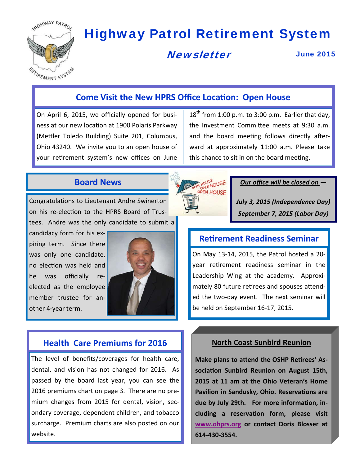

# Highway Patrol Retirement System

HOUSE<br>OPEN HOUSE OPEN HOUSE

## **Newsletter**

June 2015

## **Come Visit the New HPRS Office LocaƟon: Open House**

On April 6, 2015, we officially opened for busi‐ ness at our new location at 1900 Polaris Parkway (Mettler Toledo Building) Suite 201, Columbus, Ohio 43240. We invite you to an open house of your retirement system's new offices on June

 $18<sup>th</sup>$  from 1:00 p.m. to 3:00 p.m. Earlier that day, the Investment Committee meets at 9:30 a.m. and the board meeting follows directly afterward at approximately 11:00 a.m. Please take this chance to sit in on the board meeting.

## **Board News**

Congratulations to Lieutenant Andre Swinerton on his re-election to the HPRS Board of Trustees. Andre was the only candidate to submit a

candidacy form for his ex‐ piring term. Since there was only one candidate, no election was held and he was officially re‐ elected as the employee member trustee for another 4‐year term.



## **Health Care Premiums for 2016 North Coast Sunbird Reunion**

The level of benefits/coverages for health care, dental, and vision has not changed for 2016. As passed by the board last year, you can see the 2016 premiums chart on page 3. There are no pre‐ mium changes from 2015 for dental, vision, sec‐ ondary coverage, dependent children, and tobacco surcharge. Premium charts are also posted on our website.

#### *Our office will be closed on —*

*July 3, 2015 (Independence Day) September 7, 2015 (Labor Day)*

### **ReƟrement Readiness Seminar**

On May 13‐14, 2015, the Patrol hosted a 20‐ year retirement readiness seminar in the Leadership Wing at the academy. Approximately 80 future retirees and spouses attended the two-day event. The next seminar will be held on September 16‐17, 2015.

Make plans to attend the OSHP Retirees' As**sociaƟon Sunbird Reunion on August 15th, 2015 at 11 am at the Ohio Veteran's Home Pavilion in Sandusky, Ohio. Reservations are** due by July 29th. For more information, in**cluding a reservaƟon form, please visit www.ohprs.org or contact Doris Blosser at 614-430-3554.**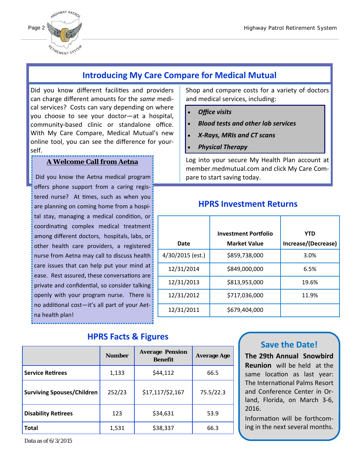

## **Introducing My Care Compare for Medical Mutual**

Did you know different facilities and providers can charge different amounts for the *same* medi‐ cal services? Costs can vary depending on where you choose to see your doctor—at a hospital, community‐based clinic or standalone office. With My Care Compare, Medical Mutual's new online tool, you can see the difference for your‐ self.

#### **A Welcome Call from Aetna**

Did you know the Aetna medical program offers phone support from a caring regis‐ tered nurse? At times, such as when you are planning on coming home from a hospital stay, managing a medical condition, or coordinating complex medical treatment among different doctors, hospitals, labs, or other health care providers, a registered nurse from Aetna may call to discuss health care issues that can help put your mind at ease. Rest assured, these conversations are private and confidential, so consider talking openly with your program nurse. There is no additional cost-it's all part of your Aetna health plan!

## **HPRS Facts & Figures**

|                                   | <b>Number</b> | <b>Average Pension</b><br><b>Benefit</b> | <b>Average Age</b> |
|-----------------------------------|---------------|------------------------------------------|--------------------|
| <b>Service Retirees</b>           | 1,133         | \$44,112                                 | 66.5               |
| <b>Surviving Spouses/Children</b> | 252/23        | \$17,117/\$2,167                         | 75.5/22.3          |
| <b>Disability Retirees</b>        | 123           | \$34,631                                 | 53.9               |
| <b>Total</b>                      | 1,531         | \$38,337                                 | 66.3               |

Shop and compare costs for a variety of doctors and medical services, including:

- *Office visits*
- *Blood tests and other lab services*
- *X‐Rays, MRIs and CT scans*
- *Physical Therapy*

Log into your secure My Health Plan account at member.medmutual.com and click My Care Com‐ pare to start saving today.

## **HPRS Investment Returns**

|                  | <b>Investment Portfolio</b> | <b>YTD</b>          |
|------------------|-----------------------------|---------------------|
| Date             | <b>Market Value</b>         | Increase/(Decrease) |
| 4/30/2015 (est.) | \$859,738,000               | 3.0%                |
| 12/31/2014       | \$849,000,000               | 6.5%                |
| 12/31/2013       | \$813,953,000               | 19.6%               |
| 12/31/2012       | \$717,036,000               | 11.9%               |
| 12/31/2011       | \$679,404,000               |                     |

### **Save the Date!**

**The 29th Annual Snowbird Reunion** will be held at the same location as last year: The International Palms Resort and Conference Center in Or‐ land, Florida, on March 3‐6, 2016.

Information will be forthcoming in the next several months.

Data as of 6/3/2015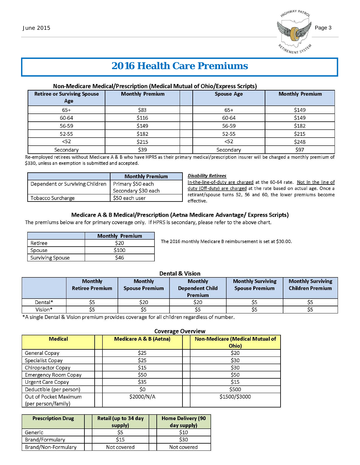

## **2016 Health Care Premiums**

#### Non-Medicare Medical/Prescription (Medical Mutual of Ohio/Express Scripts)

| <b>Retiree or Surviving Spouse</b><br>Age | <b>Monthly Premium</b> | <b>Spouse Age</b> | <b>Monthly Premium</b> |
|-------------------------------------------|------------------------|-------------------|------------------------|
| $65+$                                     | S83                    | $65+$             | \$149                  |
| 60-64                                     | \$116                  | 60-64             | \$149                  |
| 56-59                                     | \$149                  | 56-59             | \$182                  |
| $52 - 55$                                 | \$182                  | 52-55             | \$215                  |
| <52                                       | \$215                  | <52               | \$248                  |
| Secondary                                 | \$39                   | Secondary         | \$97                   |

Re-employed retirees without Medicare A & B who have HPRS as their primary medical/prescription insurer will be charged a monthly premium of \$330, unless an exemption is submitted and accepted.

|                                 | <b>Monthly Premium</b> |
|---------------------------------|------------------------|
| Dependent or Surviving Children | Primary \$50 each      |
|                                 | Secondary \$30 each    |
| Tobacco Surcharge               | \$50 each user         |

#### **Disability Retirees**

In-the-line-of-duty are charged at the 60-64 rate. Not In the line of duty (Off-duty) are charged at the rate based on actual age. Once a retirant/spouse turns 52, 56 and 60, the lower premiums become effective.

#### Medicare A & B Medical/Prescription (Aetna Medicare Advantage/ Express Scripts)

The premiums below are for primary coverage only. If HPRS is secondary, please refer to the above chart.

|                         | <b>Monthly Premium</b> |  |
|-------------------------|------------------------|--|
| Retiree                 | S20                    |  |
| Spouse                  | \$100                  |  |
| <b>Surviving Spouse</b> | \$46                   |  |

The 2016 monthly Medicare B reimbursement is set at \$30.00.

#### **Dental & Vision**

|         | <b>Monthly</b><br><b>Retiree Premium</b> | <b>Monthly</b><br><b>Spouse Premium</b> | <b>Monthly</b><br><b>Dependent Child</b><br><b>Premium</b> | <b>Monthly Surviving</b><br><b>Spouse Premium</b> | <b>Monthly Surviving</b><br><b>Children Premium</b> |
|---------|------------------------------------------|-----------------------------------------|------------------------------------------------------------|---------------------------------------------------|-----------------------------------------------------|
| Dental* |                                          | \$20                                    | \$20                                                       |                                                   | 55                                                  |
| Vision* |                                          |                                         |                                                            |                                                   | ככ                                                  |

\*A single Dental & Vision premium provides coverage for all children regardless of number.

|                                              | <b>Coverage Overview</b>          |                                                 |  |
|----------------------------------------------|-----------------------------------|-------------------------------------------------|--|
| <b>Medical</b>                               | <b>Medicare A &amp; B (Aetna)</b> | <b>Non-Medicare (Medical Mutual of</b><br>Ohio) |  |
| General Copay                                | <b>S25</b>                        | \$20                                            |  |
| Specialist Copay                             | \$25                              | \$30                                            |  |
| Chiropractor Copay                           | <b>S15</b>                        | \$30                                            |  |
| <b>Emergency Room Copay</b>                  | <b>S50</b>                        | <b>S50</b>                                      |  |
| <b>Urgent Care Copay</b>                     | \$35                              | <b>S15</b>                                      |  |
| Deductible (per person)                      | \$0                               | \$500                                           |  |
| Out of Pocket Maximum<br>(per person/family) | \$2000/N/A                        | \$1500/\$3000                                   |  |

| <b>Prescription Drug</b> | <b>Retail (up to 34 day</b><br>supply) | <b>Home Delivery (90</b><br>day supply) |
|--------------------------|----------------------------------------|-----------------------------------------|
| Generic                  |                                        | S <sub>10</sub>                         |
| Brand/Formulary          | S15                                    | <b>S30</b>                              |
| Brand/Non-Formulary      | Not covered                            | Not covered                             |